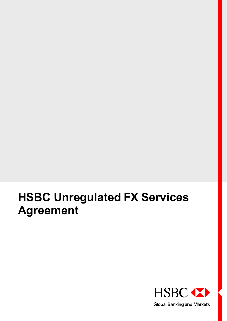# **HSBC Unregulated FX Services Agreement**

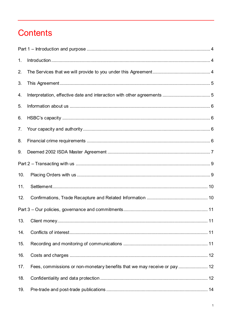# **Contents**

| 1 <sub>1</sub> |  |
|----------------|--|
| 2.             |  |
| 3.             |  |
| 4.             |  |
| 5.             |  |
| 6.             |  |
| 7.             |  |
| 8.             |  |
| 9.             |  |
|                |  |
| 10.            |  |
| 11.            |  |
| 12.            |  |
|                |  |
| 13.            |  |
| 14.            |  |
| 15.            |  |
| 16.            |  |
| 17.            |  |
| 18.            |  |
| 19.            |  |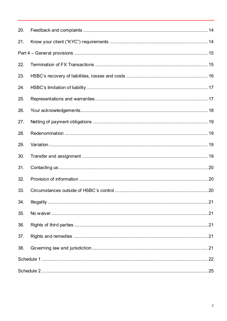| 20. |  |  |  |
|-----|--|--|--|
| 21. |  |  |  |
|     |  |  |  |
| 22. |  |  |  |
| 23. |  |  |  |
| 24. |  |  |  |
| 25. |  |  |  |
| 26. |  |  |  |
| 27. |  |  |  |
| 28. |  |  |  |
| 29. |  |  |  |
| 30. |  |  |  |
| 31. |  |  |  |
| 32. |  |  |  |
| 33. |  |  |  |
| 34. |  |  |  |
| 35. |  |  |  |
| 36. |  |  |  |
| 37. |  |  |  |
| 38. |  |  |  |
|     |  |  |  |
|     |  |  |  |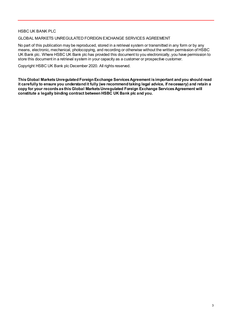#### HSBC UK BANK PLC

#### GLOBAL MARKETS UNREGULATED FOREIGN EXCHANGE SERVICES AGREEMENT

No part of this publication may be reproduced, stored in a retrieval system or transmitted in any form or by any means, electronic, mechanical, photocopying, and recording or otherwise without the written permission of HSBC UK Bank plc. Where HSBC UK Bank plc has provided this document to you electronically, you have permission to store this document in a retrieval system in your capacity as a customer or prospective customer.

Copyright HSBC UK Bank plc December 2020. All rights reserved.

**This Global MarketsUnregulated Foreign Exchange Services Agreement is important and you should read it carefully to ensure you understand it fully (we recommend taking legal advice, if necessary) and retain a copy for your records as this Global MarketsUnregulated Foreign Exchange Services Agreement will constitute a legally binding contract between HSBC UK Bank plc and you.**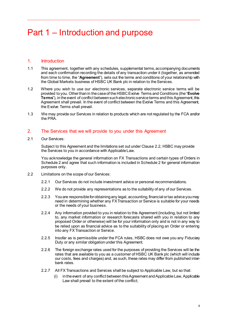# <span id="page-4-0"></span>Part 1 – Introduction and purpose

# <span id="page-4-1"></span>1. Introduction

- <span id="page-4-4"></span>1.1 This agreement, together with any schedules, supplemental terms, accompanying documents and each confirmation recording the details of any transaction under it (together, as amended from time to time, the "**Agreement**"), sets out the terms and conditions of your relationship with the Global Markets business of HSBC UK Bank plc in relation to the Services.
- <span id="page-4-5"></span>1.2 Where you wish to use our electronic services, separate electronic service terms will be provided to you. Other than in the case of the HSBC Evolve Terms and Conditions (the "**Evolve Terms**"), in the event of conflict between such electronic service terms and this Agreement, this Agreement shall prevail. In the event of conflict between the Evolve Terms and this Agreement, the Evolve Terms shall prevail.
- 1.3 We may provide our Services in relation to products which are not regulated by the FCA and/or the PRA.

# <span id="page-4-2"></span>2. The Services that we will provide to you under this Agreement

2.1 Our Services:

Subject to this Agreement and the limitations set out under Clause [2.2](#page-4-3), HSBC may provide the Services to you in accordance with Applicable Law.

You acknowledge the general information on FX Transactions and certain types of Orders in Schedule 2 and agree that such information is included in Schedule 2 for general information purposes only.

- <span id="page-4-3"></span>2.2 Limitations on the scope of our Services:
	- 2.2.1 Our Services do not include investment advice or personal recommendations.
	- 2.2.2 We do not provide any representations as to the suitability of any of our Services.
	- 2.2.3 You are responsible for obtaining any legal, accounting, financial or tax advice you may need in determining whether any FX Transaction or Service is suitable for your needs or the needs of your business.
	- 2.2.4 Any information provided to you in relation to this Agreement (including, but not limited to, any market information or research forecasts shared with you in relation to any proposed Order or otherwise) will be for your information only and is not in any way to be relied upon as financial advice as to the suitability of placing an Order or entering into any FX Transaction or Service.
	- 2.2.5 Insofar as is permissible under the FCA rules, HSBC does not owe you any Fiduciary Duty or any similar obligation under this Agreement.
	- 2.2.6 The foreign exchange rates used for the purposes of providing the Services will be the rates that are available to you as a customer of HSBC UK Bank plc (which will include our costs, fees and charges) and, as such, these rates may differ from published interbank rates.
	- 2.2.7 All FX Transactions and Services shall be subject to Applicable Law, but so that:
		- (i) in the event of any conflict between this Agreement and Applicable Law, Applicable Law shall prevail to the extent of the conflict;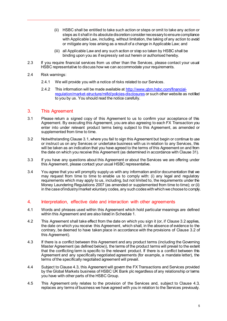- (ii) HSBC shall be entitled to take such action or steps or omit to take any action or steps as it shall in its absolute discretion consider necessary to ensure compliance with Applicable Law, including, without limitation, the taking of any action to avoid or mitigate any loss arising as a result of a change in Applicable Law; and
- (iii) all Applicable Law and any such action or step so taken by HSBC shall be binding upon you as if expressly set out herein or authorised hereby.
- 2.3 If you require financial services from us other than the Services, please contact your usual HSBC representative to discuss how we can accommodate your requirements.
- 2.4 Risk warnings:
	- 2.4.1 We will provide you with a notice of risks related to our Services.
	- 2.4.2 This information will be made available at [http://www.gbm.hsbc.com/financial](http://www.gbm.hsbc.com/financial-regulation/market-structure/mifid/policies-disclosures)[regulation/market-structure/mifid/policies-disclosures](http://www.gbm.hsbc.com/financial-regulation/market-structure/mifid/policies-disclosures) or such other website as notified to you by us. You should read the notice carefully.

#### <span id="page-5-0"></span>3. This Agreement

- <span id="page-5-2"></span>3.1 Please return a signed copy of this Agreement to us to confirm your acceptance of this Agreement. By executing this Agreement, you are also agreeing to each FX Transaction you enter into under relevant product terms being subject to this Agreement, as amended or supplemented from time to time.
- <span id="page-5-3"></span>3.2 Notwithstanding Claus[e 3.1](#page-5-2), where you fail to sign this Agreement but begin or continue to use or instruct us on any Services or undertake business with us in relation to any Services, this will be taken as an indication that you have agreed to the terms of this Agreement on and from the date on which you receive this Agreement (as determined in accordance with Clause [31](#page-20-0)).
- 3.3 If you have any questions about this Agreement or about the Services we are offering under this Agreement, please contact your usual HSBC representative.
- 3.4 You agree that you will promptly supply us with any information and/or documentation that we may request from time to time to enable us to comply with: (i) any legal and regulatory requirements which may apply to us, including, but not limited to, the requirements under the Money Laundering Regulations 2007 (as amended or supplemented from time to time); or (ii) in the case of industry/market voluntary codes, any such codes with which we choose to comply.

# <span id="page-5-1"></span>4. Interpretation, effective date and interaction with other agreements

- 4.1 Words and phrases used within this Agreement which hold particular meanings are defined within this Agreement and are also listed in Schedule 1.
- 4.2 This Agreement shall take effect from the date on which you sign it (or, if Claus[e 3.2](#page-5-3) applies, the date on which you receive this Agreement, which shall, in the absence of evidence to the contrary, be deemed to have taken place in accordance with the provisions of Claus[e 3.2](#page-5-3) of this Agreement).
- <span id="page-5-4"></span>4.3 If there is a conflict between this Agreement and any product terms (including the Governing Master Agreement (as defined below)), the terms of the product terms will prevail to the extent that the conflicting term is specific to the relevant product. If there is a conflict between this Agreement and any specifically negotiated agreements (for example, a mandate letter), the terms of the specifically negotiated agreement will prevail.
- 4.4 Subject to Claus[e 4.3,](#page-5-4) this Agreement will govern the FX Transactions and Services provided by the Global Markets business of HSBC UK Bank plc regardless of any relationship or terms you have with other parts of the HSBC Group.
- 4.5 This Agreement only relates to the provision of the Services and, subject to Clause [4.3,](#page-5-4) replaces any terms of business we have agreed with you in relation to the Services previously.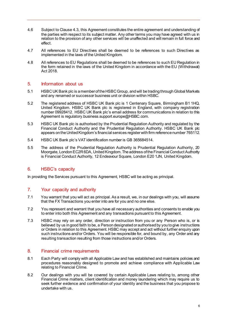- 4.6 Subject to Claus[e 4.3,](#page-5-4) this Agreement constitutes the entire agreement and understanding of the parties with respect to its subject matter. Any other terms you may have agreed with us in relation to the provision of any other services will be unaffected and will remain in full force and effect.
- 4.7 All references to EU Directives shall be deemed to be references to such Directives as implemented in the laws of the United Kingdom.
- 4.8 All references to EU Regulations shall be deemed to be references to such EU Regulation in the form retained in the laws of the United Kingdom in accordance with the EU (Withdrawal) Act 2018.

# <span id="page-6-0"></span>5. Information about us

- 5.1 HSBCUK Bank plc is a member of the HSBC Group, and will be trading through Global Markets and any renamed or successor business unit or division within HSBC.
- <span id="page-6-4"></span>5.2 The registered address of HSBC UK Bank plc is 1 Centenary Square, Birmingham B1 1HQ, United Kingdom. HSBC UK Bank plc is registered in England, with company registration number 09928412. HSBC UK Bank plc's email address for communications in relation to this Agreement is regulatory.business.support.europe@HSBC.com.
- 5.3 HSBC UK Bank plc is authorised by the Prudential Regulation Authority and regulated by the Financial Conduct Authority and the Prudential Regulation Authority. HSBC UK Bank plc appears on the United Kingdom's financial services register with firm reference number 765112.
- 5.4 HSBC UK Bank plc's VAT identification number is GB 365684514.
- 5.5 The address of the Prudential Regulation Authority is Prudential Regulation Authority, 20 Moorgate, London EC2R 6DA, United Kingdom. The address of the Financial Conduct Authority is Financial Conduct Authority, 12 Endeavour Square, London E20 1JN, United Kingdom.

# <span id="page-6-1"></span>6. HSBC's capacity

<span id="page-6-2"></span>In providing the Services pursuant to this Agreement, HSBC will be acting as principal.

# 7. Your capacity and authority

- 7.1 You warrant that you will act as principal. As a result, we, in our dealings with you, will assume that the FX Transactions you enter into are for you and no one else.
- 7.2 You represent and warrant that you have all necessary authorities and consents to enable you to enter into both this Agreement and any transactions pursuant to this Agreement.
- 7.3 HSBC may rely on any order, direction or instruction from you or any Person who is, or is believed by us in good faith to be, a Person designated or authorised by you to give instructions or Orders in relation to this Agreement. HSBC may accept and act without further enquiry upon such instructions and/or Orders. You will be responsible for, and bound by, any Order and any resulting transaction resulting from those instructions and/or Orders.

#### <span id="page-6-3"></span>8. Financial crime requirements

- 8.1 Each Party will comply with all Applicable Law and has established and maintains policies and procedures reasonably designed to promote and achieve compliance with Applicable Law relating to Financial Crime.
- 8.2 Our dealings with you will be covered by certain Applicable Laws relating to, among other Financial Crime matters, client identification and money laundering which may require us to seek further evidence and confirmation of your identity and the business that you propose to undertake with us.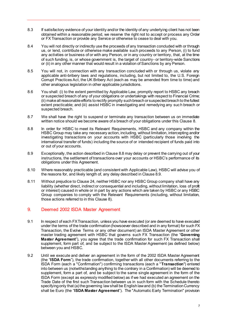- 8.3 If satisfactory evidence of your identity and/or the identity of any underlying client has not been obtained within a reasonable period, we reserve the right not to accept or process any Order or FX Transaction or provide any Service or otherwise to cease to deal with you.
- 8.4 You will not directly or indirectly use the proceeds of any transaction concluded with or through us, or lend, contribute or otherwise make available such proceeds to any Person, (i) to fund any activities or business of or with any Person, or in any country or territory, that, at the time of such funding, is, or whose government is, the target of country- or territory-wide Sanctions or (ii) in any other manner that would result in a violation of Sanctions by any Person.
- 8.5 You will not, in connection with any transaction concluded with or through us, violate any applicable anti-bribery laws and regulations, including, but not limited to, the U.S. Foreign Corrupt Practices Act, the UK Bribery Act (each as may be amended from time to time) and other analogous legislation in other applicable jurisdictions.
- 8.6 You shall: (i) to the extent permitted by Applicable Law, promptly report to HSBC any breach or suspected breach of any of your obligations or undertakings with respect to Financial Crime; (ii) make all reasonable efforts to rectify promptly such breach or suspected breach to the fullest extent practicable; and (iii) assist HSBC in investigating and remedying any such breach or suspected breach.
- 8.7 We shall have the right to suspend or terminate any transaction between us on immediate written notice should we become aware of a breach of your obligations under this Claus[e 8](#page-6-3).
- <span id="page-7-1"></span>8.8 In order for HSBC to meet its Relevant Requirements, HSBC and any company within the HSBC Group may take any necessary action, including, without limitation, intercepting and/or investigating transactions on your accounts with HSBC (particularly those involving the international transfer of funds) including the source of or intended recipient of funds paid into or out of your accounts.
- <span id="page-7-2"></span>8.9 Exceptionally, the action described in Claus[e 8.8](#page-7-1) may delay or prevent the carrying out of your instructions, the settlement of transactions over your accounts or HSBC's performance of its obligations under this Agreement.
- 8.10 Where reasonably practicable (and consistent with Applicable Law), HSBC will advise you of the reasons for, and likely length of, any delay described in Clause [8.9](#page-7-2).
- 8.11 Without prejudice to Claus[e 24,](#page-17-0) neither HSBC nor any HSBC Group company shall have any liability (whether direct, indirect or consequential and including, without limitation, loss of profit or interest) caused in whole or in part by any actions which are taken by HSBC or any HSBC Group companies to comply with the Relevant Requirements (including, without limitation, those actions referred to in this Claus[e 8](#page-6-3)).

# <span id="page-7-0"></span>9. Deemed 2002 ISDA Master Agreement

- 9.1 In respect of each FX Transaction, unless you have executed (or are deemed to have executed under the terms of the trade confirmation (howsoever described and in any format) for such FX Transaction, the Evolve Terms or any other document) an ISDA Master Agreement or other master trading agreement with HSBC that governs such FX Transaction (the "**Governing Master Agreement**"), you agree that the trade confirmation for such FX Transaction shall supplement, form part of, and be subject to the ISDA Master Agreement (as defined below) between you and HSBC.
- <span id="page-7-3"></span>9.2 Until we execute and deliver an agreement in the form of the 2002 ISDA Master Agreement (the "**ISDA Form**"), the trade confirmation, together with all other documents referring to the ISDA Form (each a "Confirmation") confirming transactions (each a "**Transaction**") entered into between us (notwithstanding anything to the contrary in a Confirmation) will be deemed to supplement, form a part of, and be subject to the same single agreement in the form of the ISDA Form (except as expressly modified below) as if we had executed an agreement on the Trade Date of the first such Transaction between us in such form with the Schedule thereto specifying only that (a) the governing law shall be English law and (b) the Termination Currency shall be Euro (the "**ISDA Master Agreement**"). The "Automatic Early Termination" provision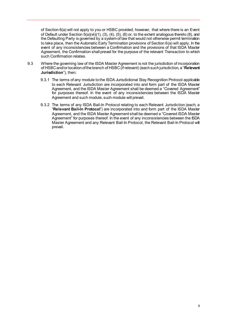of Section 6(a) will not apply to you or HSBC provided, however, that where there is an Event of Default under Section 5(a)(vii)(1), (3), (4), (5), (6) or, to the extent analogous thereto (8), and the Defaulting Party is governed by a system of law that would not otherwise permit termination to take place, then the Automatic Early Termination provisions of Section 6(a) will apply. In the event of any inconsistencies between a Confirmation and the provisions of that ISDA Master Agreement, the Confirmation shall prevail for the purpose of the relevant Transaction to which such Confirmation relates.

- <span id="page-8-1"></span><span id="page-8-0"></span>9.3 Where the governing law of the ISDA Master Agreement is not the jurisdiction of incorporation of HSBCand/or location of the branch of HSBC (if relevant) (each such jurisdiction, a "**Relevant Jurisdiction**"), then:
	- 9.3.1 The terms of any module to the ISDA Jurisdictional Stay Recognition Protocol applicable to each Relevant Jurisdiction are incorporated into and form part of the ISDA Master Agreement, and the ISDA Master Agreement shall be deemed a "Covered Agreement" for purposes thereof. In the event of any inconsistencies between the ISDA Master Agreement and such module, such module will prevail.
	- 9.3.2 The terms of any ISDA Bail-In Protocol relating to each Relevant Jurisdiction (each, a "**Relevant Bail-In Protocol**") are incorporated into and form part of the ISDA Master Agreement, and the ISDA Master Agreement shall be deemed a "Covered ISDA Master Agreement" for purposes thereof. In the event of any inconsistencies between the ISDA Master Agreement and any Relevant Bail-In Protocol, the Relevant Bail-In Protocol will prevail.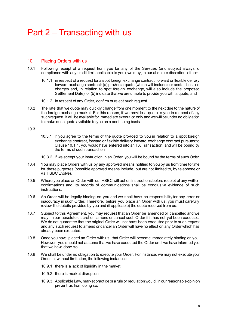# <span id="page-9-0"></span>Part 2 – Transacting with us

# <span id="page-9-1"></span>10. Placing Orders with us

- <span id="page-9-2"></span>10.1 Following receipt of a request from you for any of the Services (and subject always to compliance with any credit limit applicable to you), we may, in our absolute discretion, either:
	- 10.1.1 in respect of a request for a spot foreign exchange contract, forward or flexible delivery forward exchange contract: (a) provide a quote (which will include our costs, fees and charges and, in relation to spot foreign exchange, will also include the proposed Settlement Date); or (b) indicate that we are unable to provide you with a quote; and
	- 10.1.2 in respect of any Order, confirm or reject such request.
- 10.2 The rate that we quote may quickly change from one moment to the next due to the nature of the foreign exchange market. For this reason, if we provide a quote to you in respect of any such request, it will be available for immediate execution only and we will be under no obligation to make such quote available to you on a continuing basis.

10.3

- 10.3.1 If you agree to the terms of the quote provided to you in relation to a spot foreign exchange contract, forward or flexible delivery forward exchange contract pursuant to Clause [10.1.1,](#page-9-2) you would have entered into an FX Transaction, and will be bound by the terms of such transaction.
- 10.3.2 If we accept your instruction in an Order, you will be bound by the terms of such Order.
- 10.4 You may place Orders with us by any approved means notified to you by us from time to time for these purposes (possible approved means include, but are not limited to, by telephone or via HSBC Evolve).
- 10.5 Where you place an Order with us, HSBC will act on instructions before receipt of any written confirmations and its records of communications shall be conclusive evidence of such instructions.
- 10.6 An Order will be legally binding on you and we shall have no responsibility for any error or inaccuracy in such Order. Therefore, before you place an Order with us, you must carefully review the details provided by you and (if applicable) the quote received from us.
- 10.7 Subject to this Agreement, you may request that an Order be amended or cancelled and we may, in our absolute discretion, amend or cancel such Order if it has not yet been executed. We do not guarantee that the original Order will not have been executed prior to such request and any such request to amend or cancel an Order will have no effect on any Order which has already been executed.
- 10.8 Once you have placed an Order with us, that Order will become immediately binding on you. However, you should not assume that we have executed the Order until we have informed you that we have done so.
- 10.9 We shall be under no obligation to execute your Order. For instance, we may not execute your Order in, without limitation, the following instances:
	- 10.9.1 there is a lack of liquidity in the market;
	- 10.9.2 there is market disruption;
	- 10.9.3 Applicable Law, market practice or a rule or regulation would, in our reasonable opinion, prevent us from doing so;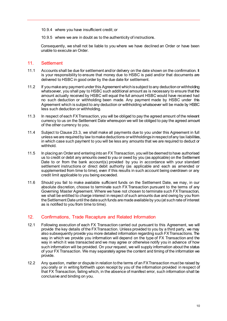- 10.9.4 where you have insufficient credit; or
- 10.9.5 where we are in doubt as to the authenticity of instructions.

Consequently, we shall not be liable to you where we have declined an Order or have been unable to execute an Order.

#### <span id="page-10-0"></span>11. Settlement

- 11.1 Accounts shall be due for settlement and/or delivery on the date shown on the confirmation. It is your responsibility to ensure that money due to HSBC is paid and/or that documents are delivered to HSBC in good order by the due date for settlement.
- 11.2 If you make any payment under this Agreement which is subject to any deduction or withholding whatsoever, you shall pay to HSBC such additional amount as is necessary to ensure that the amount actually received by HSBC will equal the full amount HSBC would have received had no such deduction or withholding been made. Any payment made by HSBC under this Agreement which is subject to any deduction or withholding whatsoever will be made by HSBC less such deduction or withholding.
- 11.3 In respect of each FX Transaction, you will be obliged to pay the agreed amount of the relevant currency to us on the Settlement Date whereupon we will be obliged to pay the agreed amount of the other currency to you.
- 11.4 Subject to Claus[e 23.3,](#page-16-1) we shall make all payments due to you under this Agreement in full unless we are required by law to make deductions or withholdings in respect of any tax liabilities, in which case such payment to you will be less any amounts that we are required to deduct or withhold.
- 11.5 In placing an Order and entering into an FX Transaction, you will be deemed to have authorised us to credit or debit any amounts owed to you or owed by you (as applicable) on the Settlement Date to or from the bank account(s) provided by you in accordance with your standard settlement instructions or direct debit authority (as applicable and each as amended or supplemented from time to time), even if this results in such account being overdrawn or any credit limit applicable to you being exceeded.
- <span id="page-10-2"></span>11.6 Should you fail to make available sufficient funds on the Settlement Date, we may, in our absolute discretion, choose to terminate such FX Transaction pursuant to the terms of any Governing Master Agreement. Where we have not chosen to terminate such FX Transaction, we shall be entitled to charge interest in respect of such amounts due and owing by you from the Settlement Date until the date such funds are made available by you (at such rate of interest as is notified to you from time to time).

# <span id="page-10-1"></span>12. Confirmations, Trade Recapture and Related Information

- 12.1 Following execution of each FX Transaction carried out pursuant to this Agreement, we will provide the key details of the FX Transaction. Unless provided to you by a third party, we may also subsequently provide you more detailed information regarding such FX Transactions. The way in which we provide you information will depend on the type of FX Transaction and the way in which it was transacted and we may agree or otherwise notify you in advance of how such information will be provided. On your request, we will supply information about the status of your FX Transaction. We may separately agree the content and timing of the information we provide.
- 12.2 Any question, matter or dispute in relation to the terms of an FX Transaction must be raised by you orally or in writing forthwith upon receipt by you of the information provided in respect of that FX Transaction, failing which, in the absence of manifest error, such information shall be conclusive and binding on you.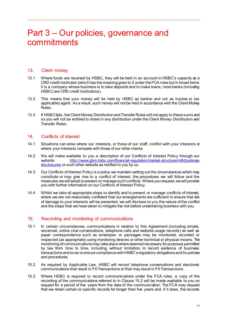# <span id="page-11-0"></span>Part 3 – Our policies, governance and commitments

#### <span id="page-11-1"></span>13. Client money

- 13.1 Where funds are received by HSBC, they will be held in an account in HSBC's capacity as a CRD credit institution (which has the meaning given to it under the FCA rules but in broad terms it is a company whose business is to take deposits and to make loans; most banks (including HSBC) are CRD credit institutions).
- 13.2 This means that your money will be held by HSBC as banker and not as trustee or (as applicable) agent. As a result, such money will not be held in accordance with the Client Money Rules.
- 13.3 If HSBC fails, the Client Money Distribution and Transfer Rules will not apply to these sums and so you will not be entitled to share in any distribution under the Client Money Distribution and Transfer Rules.

#### <span id="page-11-2"></span>14 Conflicts of interest

- 14.1 Situations can arise where our interests, or those of our staff, conflict with your interests or where your interests compete with those of our other clients.
- 14.2 We will make available to you a description of our Conflicts of Interest Policy through our website [http://www.gbm.hsbc.com/financial-regulation/market-structure/mifid/policies](http://www.gbm.hsbc.com/financial-regulation/market-structure/mifid/policies-disclosures)[disclosures](http://www.gbm.hsbc.com/financial-regulation/market-structure/mifid/policies-disclosures) or such other website as notified to you by us.
- 14.3 Our Conflicts of Interest Policy is a policy we maintain setting out the circumstances which may constitute or may give rise to a conflict of interest, the procedures we will follow and the measures we will adopt to prevent or manage such conflicts. Where you request, we will provide you with further information on our Conflicts of Interest Policy.
- 14.4 Whilst we take all appropriate steps to identify and to prevent or manage conflicts of interest, where we are not reasonably confident that our arrangements are sufficient to ensure that risk of damage to your interests will be prevented, we will disclose to you the nature of the conflict and the steps that we have taken to mitigate the risk before undertaking business with you.

# <span id="page-11-3"></span>15. Recording and monitoring of communications

- 15.1 In certain circumstances, communications in relation to this Agreement (including emails, voicemail, online chat conversations, telephone calls and website usage records) as well as paper correspondence such as envelopes or packages may be monitored, recorded or inspected (as appropriate) using monitoring devices or other technical or physical means. The monitoring of communications may take place where deemed necessary for purposes permitted by law from time to time, including, without limitation, to record evidence of business transactions and so as to ensure compliance with HSBC's regulatory obligations and its policies and procedures.
- <span id="page-11-4"></span>15.2 As required by Applicable Law, HSBC will record telephone conversations and electronic communications that result in FX Transactions or that may result in FX Transactions.
- 15.3 Where HSBC is required to record communications under the FCA rules, a copy of the recording of the communications referred to in Clause [15.2](#page-11-4) will be made available to you on request for a period of five years from the date of the communication. The FCA may request that we retain certain or specific records for longer than five years and, if it does, the records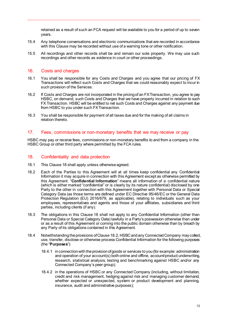retained as a result of such an FCA request will be available to you for a period of up to seven years.

- 15.4 Any telephone conversations and electronic communications that are recorded in accordance with this Clause may be recorded without use of a warning tone or other notification.
- 15.5 All recordings and other records shall be and remain our sole property. We may use such recordings and other records as evidence in court or other proceedings.

#### <span id="page-12-0"></span>16. Costs and charges

- 16.1 You shall be responsible for any Costs and Charges and you agree that our pricing of FX Transactions will reflect such Costs and Charges that we could reasonably expect to incur in such provision of the Services.
- 16.2 If Costs and Charges are not incorporated in the pricing of an FX Transaction, you agree to pay HSBC, on demand, such Costs and Charges that we have properly incurred in relation to such FX Transaction. HSBC will be entitled to net such Costs and Charges against any payment due from HSBC to you under such FX Transaction.
- 16.3 You shall be responsible for payment of all taxes due and for the making of all claims in relation thereto.

#### <span id="page-12-1"></span>17. Fees, commissions or non-monetary benefits that we may receive or pay

HSBC may pay or receive fees, commissions or non-monetary benefits to and from a company in the HSBC Group or other third party where permitted by the FCA rules.

# <span id="page-12-2"></span>18. Confidentiality and data protection

- 18.1 This Clause 18 shall apply unless otherwise agreed.
- <span id="page-12-3"></span>18.2 Each of the Parties to this Agreement will at all times keep confidential any Confidential Information it may acquire in connection with this Agreement except as otherwise permitted by this Agreement. "**Confidential Information**" means all information of a confidential nature (which is either marked "confidential" or is clearly by its nature confidential) disclosed by one Party to the other in connection with this Agreement together with Personal Data or Special Category Data (as those terms are defined under EC Directive 95/46/EC or the General Data Protection Regulation (EU) 2016/679, as applicable), relating to individuals such as your employees, representatives and agents and those of your affiliates, subsidiaries and third parties, including clients (if any).
- 18.3 The obligations in this Clause 18 shall not apply to any Confidential Information (other than Personal Data or Special Category Data) lawfully in a Party's possession otherwise than under or as a result of this Agreement or coming into the public domain otherwise than by breach by any Party of its obligations contained in this Agreement.
- <span id="page-12-4"></span>18.4 Notwithstanding the provisions of Claus[e 18.2](#page-12-3), HSBC and any Connected Company may collect, use, transfer, disclose or otherwise process Confidential Information for the following purposes (the "**Purposes**"):
	- 18.4.1 in connection with the provision of goods or services to you (for example: administration and operation of your account(s) both online and offline, account/product underwriting, research, statistical analysis, testing and benchmarking against HSBC and/or any Connected Company's peer group);
	- 18.4.2 in the operations of HSBC or any Connected Company (including, without limitation, credit and risk management, hedging against risk and managing customer demand, whether expected or unexpected, system or product development and planning, insurance, audit and administrative purposes);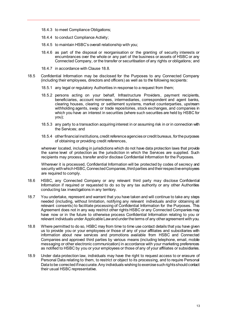- 18.4.3 to meet Compliance Obligations;
- 18.4.4 to conduct Compliance Activity;
- 18.4.5 to maintain HSBC's overall relationship with you;
- 18.4.6 as part of the disposal or reorganisation or the granting of security interests or encumbrances over the whole or any part of the business or assets of HSBC or any Connected Company, or the transfer or securitisation of any rights or obligations; and
- 18.4.7 in accordance with Claus[e 18.8](#page-13-0).
- 18.5 Confidential Information may be disclosed for the Purposes to any Connected Company (including their employees, directors and officers) as well as to the following recipients:
	- 18.5.1 any legal or regulatory Authorities in response to a request from them;
	- 18.5.2 persons acting on your behalf, Infrastructure Providers, payment recipients, beneficiaries, account nominees, intermediaries, correspondent and agent banks, clearing houses, clearing or settlement systems, market counterparties, upstream withholding agents, swap or trade repositories, stock exchanges, and companies in which you have an interest in securities (where such securities are held by HSBC for you);
	- 18.5.3 any party to a transaction acquiring interest in or assuming risk in or in connection with the Services; and
	- 18.5.4 other financial institutions, credit reference agencies or credit bureaus, for the purposes of obtaining or providing credit references,

wherever located, including in jurisdictions which do not have data protection laws that provide the same level of protection as the jurisdiction in which the Services are supplied. Such recipients may process, transfer and/or disclose Confidential Information for the Purposes.

Wherever it is processed, Confidential Information will be protected by codes of secrecy and security with which HSBC, Connected Companies, third parties and their respective employees are required to comply.

- 18.6 HSBC, any Connected Company or any relevant third party may disclose Confidential Information if required or requested to do so by any tax authority or any other Authorities conducting tax investigations in any territory.
- 18.7 You undertake, represent and warrant that you have taken and will continue to take any steps needed (including, without limitation, notifying any relevant individuals and/or obtaining all relevant consents) to facilitate processing of Confidential Information for the Purposes. This Agreement does not in any way restrict other rights HSBC or any Connected Companies may have now or in the future to otherwise process Confidential Information relating to you or relevant individuals under Applicable Law and under the terms of any other agreement with you.
- <span id="page-13-0"></span>18.8 Where permitted to do so, HSBC may from time to time use contact details that you have given us to provide you or your employees or those of any of your affiliates and subsidiaries with information about new services and promotions available from HSBC and Connected Companies and approved third parties by various means (including telephone, email, mobile messaging or other electronic communication) in accordance with your marketing preferences as notified to HSBC by you or your employees or those of any of your affiliates or subsidiaries.
- 18.9 Under data protection law, individuals may have the right to request access to or erasure of Personal Data relating to them, to restrict or object to its processing, and to require Personal Data to be corrected if inaccurate. Any individuals wishing to exercise such rights should contact their usual HSBC representative.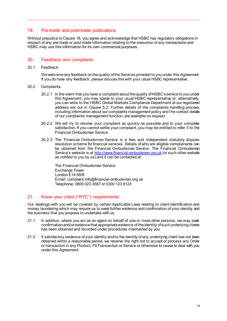# <span id="page-14-0"></span>19. Pre-trade and post-trade publications

Without prejudice to Clause 18, you agree and acknowledge that HSBC has regulatory obligations in respect of any pre-trade or post-trade information relating to the execution of any transactions and HSBC may use this information for its own commercial purposes.

# <span id="page-14-1"></span>20. Feedback and complaints

20.1 Feedback:

We welcome any feedback on the quality of the Services provided to you under this Agreement. If you do have any feedback, please discuss this with your usual HSBC representative.

- 20.2 Complaints:
	- 20.2.1 In the event that you have a complaint about the quality of HSBC's service to you under this Agreement, you may speak to your usual HSBC representative or, alternatively, you can write to the HSBC Global Markets Compliance Department at our registered address set out in Clause [5.2.](#page-6-4) Further details of the complaints-handling process, including information about our complaints management policy and the contact details of our complaints management function, are available on request.
	- 20.2.2 We will try to resolve your complaint as quickly as possible and to your complete satisfaction. If you cannot settle your complaint, you may be entitled to refer it to the Financial Ombudsman Service.
	- 20.2.3 The Financial Ombudsman Service is a free and independent statutory disputeresolution scheme for financial services. Details of who are eligible complainants can be obtained from the Financial Ombudsman Service. The Financial Ombudsman Service's website is at [http://www.financial-ombudsman.org.uk](http://www.financial-ombudsman.org.uk/) (or such other website as notified to you by us) and it can be contacted at:

The Financial Ombudsman Service Exchange Tower London E14 9SR Email: complaint.info@financial-ombudsman.org.uk Telephone: 0800 023 4567 or 0300 123 9123

# <span id="page-14-2"></span>21. Know your client ("KYC") requirements

Our dealings with you will be covered by certain Applicable Laws relating to client identification and money laundering which may require us to seek further evidence and confirmation of your identity and the business that you propose to undertake with us.

- 21.1 In addition, where you act as an agent on behalf of one or more other persons, we may seek confirmation and/or evidence that appropriate evidence of the identity of such underlying clients has been obtained and recorded under procedures maintained by you.
- 21.2 If satisfactory evidence of your identity and/or the identity of any underlying client has not been obtained within a reasonable period, we reserve the right not to accept or process any Order or transaction in any Product, FX Transaction or Service or otherwise to cease to deal with you under this Agreement.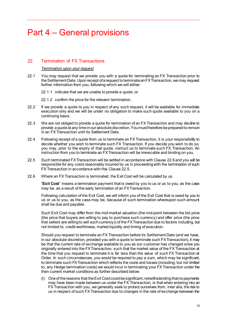# <span id="page-15-0"></span>Part 4 – General provisions

# <span id="page-15-1"></span>22. Termination of FX Transactions

#### *Termination upon your request*

- 22.1 You may request that we provide you with a quote for terminating an FX Transaction prior to the Settlement Date. Upon receipt of a request to terminate an FX Transaction, we may request further information from you, following which we will either:
	- 22.1.1 indicate that we are unable to provide a quote; or
	- 22.1.2 confirm the price for the relevant termination.
- 22.2 If we provide a quote to you in respect of any such request, it will be available for immediate execution only and we will be under no obligation to make such quote available to you on a continuing basis.
- 22.3 We are not obliged to provide a quote for termination of an FX Transaction and may decline to provide a quote at any time in our absolute discretion. You must therefore be prepared to remain in an FX Transaction until its Settlement Date.
- 22.4 Following receipt of a quote from us to terminate an FX Transaction, it is your responsibility to decide whether you wish to terminate such FX Transaction. If you decide you wish to do so, you may, prior to the expiry of that quote, instruct us to terminate such FX Transaction. An instruction from you to terminate an FX Transaction will be irrevocable and binding on you.
- <span id="page-15-3"></span>22.5 Such terminated FX Transaction will be settled in accordance with Claus[e 22.6](#page-15-2) and you will be responsible for any costs reasonably incurred by us in proceeding with the termination of such FX Transaction in accordance with this Clause [22.5](#page-15-3).
- <span id="page-15-2"></span>22.6 Where an FX Transaction is terminated, the Exit Cost will be calculated by us.

"**Exit Cost**" means a termination payment that is owed by you to us or us to you, as the case may be, as a result of the early termination of an FX Transaction.

Following calculation of the Exit Cost, we will inform you of the Exit Cost that is owed by you to us or us to you, as the case may be, because of such termination whereupon such amount shall be due and payable.

Such Exit Cost may differ from the mid-market valuation (the mid-point between the bid price (the price that buyers are willing to pay to purchase such currency) and offer price (the price that sellers are willing to sell such currency)) of the FX Transaction due to factors including, but not limited to, credit-worthiness, market liquidity and timing of execution.

Should you request to terminate an FX Transaction before its Settlement Date (and we have, in our absolute discretion, provided you with a quote to terminate such FX Transaction), it may be that the current rate of exchange available to you as our customer has changed since you originally entered into the FX Transaction, such that the market value of the FX Transaction at the time that you request to terminate it is far less than the value of such FX Transaction at Order. In such circumstances, you would be required to pay a sum, which may be significant, to terminate such FX Transaction which reflects the costs and losses (including, but not limited to, any Hedge termination costs) we would incur in terminating your FX Transaction under the then current market conditions as further described below.

(i) One of the reasons that the Exit Cost could be significant, notwithstanding that no payments may have been made between us under the FX Transaction, is that when entering into an FX Transaction with you, we generally seek to protect ourselves from, inter alia, the risk to us in respect of such FX Transaction due to changes in the rate of exchange between the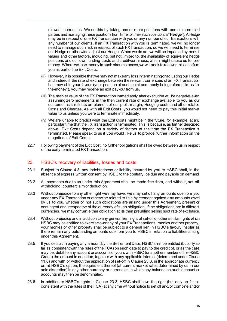relevant currencies. We do this by taking one or more positions with one or more third parties and managing these positions from time to time (such position, a "**Hedge**"). A Hedge may be in respect of one FX Transaction with you or any number of our transactions with any number of our clients. If an FX Transaction with you is terminated, we will no longer need to manage such risk in respect of such FX Transaction, so we will need to terminate our Hedge or otherwise adjust our Hedge. When we do so, we will be impacted by market values and other factors, including, but not limited to, the availability of equivalent hedge positions and our own funding costs and creditworthiness, which might cause us to lose money. Where we lose money in such circumstances, we will seek to recover this loss from you as part of the Exit Costs.

- (ii) However, it is possible that we may not make any loss in terminating or adjusting our Hedge and indeed if the rate of exchange between the relevant currencies of an FX Transaction has moved in your favour (your position at such point commonly being referred to as 'inthe-money'), you may receive an exit pay-out from us.
- (iii) The market value of the FX Transaction immediately after execution will be negative even assuming zero movements in the then current rate of exchange available to you as our customer as it reflects an element of our profit margin, Hedging costs and other related Costs and Charges. As with all Exit Costs, you would not need to pay this initial market value to us unless you were to terminate immediately.
- (iv) We are unable to predict what the Exit Costs might be in the future, for example, at any particular time that the FX Transaction is terminated. This is because, as further described above, Exit Costs depend on a variety of factors at the time the FX Transaction is terminated. Please speak to us if you would like us to provide further information on the magnitude of Exit Costs.
- 22.7 Following payment of the Exit Cost, no further obligations shall be owed between us in respect of the early terminated FX Transaction.

#### <span id="page-16-0"></span>23. HSBC's recovery of liabilities, losses and costs

- 23.1 Subject to Clause [4.3,](#page-5-4) any indebtedness or liability incurred by you to HSBC shall, in the absence of express written consent by HSBC to the contrary, be due and payable on demand.
- 23.2 All payments due to us under this Agreement shall be made free from, and without, set-off, withholding, counterclaim or deduction.
- <span id="page-16-1"></span>23.3 Without prejudice to any other right we may have, we may set off any amounts due from you under any FX Transaction or otherwise related to this Agreement against any amounts owed by us to you, whether or not such obligations are arising under this Agreement, present or contingent and irrespective of the currency of such obligation. If the obligations are in different currencies, we may convert either obligation at its then prevailing selling spot rate of exchange.
- 23.4 Without prejudice and in addition to any general lien, right of set-off or other similar rights which HSBC may be entitled to exercise over any of your FX Transactions, monies or other property, your monies or other property shall be subject to a general lien in HSBC's favour, insofar as there remain any outstanding amounts due from you to HSBC in relation to liabilities arising under this Agreement.
- 23.5 If you default in paying any amount by the Settlement Date, HSBC shall be entitled (but only so far as consistent with the rules of the FCA) on such date to pay to the credit of, or as the case may be, debit to any account or accounts of yours with HSBC (or another member of the HSBC Group) the amount in question, together with any applicable interest (determined under Clause [11.6\)](#page-10-2) and with or without the application of set-off in Claus[e 23.3,](#page-16-1) in the appropriate currency or, at HSBC's option, the equivalent thereof (at current market rates determined by us in our sole discretion) in any other currency or currencies in which any balance on such account or accounts may then be denominated.
- 23.6 In addition to HSBC's rights in Clause [23.3,](#page-16-1) HSBC shall have the right (but only so far as consistent with the rules of the FCA) at any time without notice to set off and/or combine and/or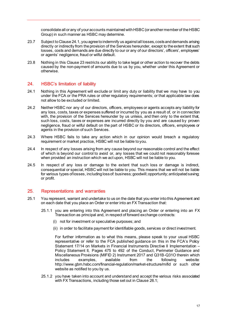consolidate all or any of your accounts maintained with HSBC (or another member of the HSBC Group) in such manner as HSBC may determine.

- 23.7 Subject to Claus[e 24.1,](#page-17-2) you agree to indemnify us against all losses, costs and demands arising directly or indirectly from the provision of the Services hereunder, except to the extent that such losses, costs and demands are due directly to our or any of our directors', officers', employees' or agents' negligence, fraud or wilful default.
- 23.8 Nothing in this Claus[e 23](#page-16-0) restricts our ability to take legal or other action to recover the debts caused by the non-payment of amounts due to us by you, whether under this Agreement or otherwise.

# <span id="page-17-0"></span>24. HSBC's limitation of liability

- <span id="page-17-2"></span>24.1 Nothing in this Agreement will exclude or limit any duty or liability that we may have to you under the FCA or the PRA rules or other regulatory requirements; or that applicable law does not allow to be excluded or limited.
- 24.2 Neither HSBC nor any of our directors, officers, employees or agents accepts any liability for any loss, costs, taxes or expenses suffered or incurred by you as a result of, or in connection with, the provision of the Services hereunder by us unless, and then only to the extent that, such loss, costs, taxes or expenses are incurred directly by you and are caused by proven negligence, fraud or wilful default on the part of HSBC or its directors, officers, employees or agents in the provision of such Services.
- 24.3 Where HSBC fails to take any action which in our opinion would breach a regulatory requirement or market practice, HSBC will not be liable to you.
- 24.4 In respect of any losses arising from any cause beyond our reasonable control and the effect of which is beyond our control to avoid or, any losses that we could not reasonably foresee when provided an instruction which we act upon, HSBC will not be liable to you.
- 24.5 In respect of any loss or damage to the extent that such loss or damage is indirect, consequential or special, HSBC will not be liable to you. This means that we will not be liable for various types of losses, including loss of: business; goodwill; opportunity; anticipated saving; or profit.

# <span id="page-17-1"></span>25. Representations and warranties

- 25.1 You represent, warrant and undertake to us on the date that you enter into this Agreement and on each date that you place an Order or enter into an FX Transaction that:
	- 25.1.1 you are entering into this Agreement and placing an Order or entering into an FX Transaction as principal and, in respect of forward exchange contracts:
		- (i) not for investment or speculative purposes; and
		- (ii) in order to facilitate payment for identifiable goods, services or direct investment.

For further information as to what this means, please speak to your usual HSBC representative or refer to the FCA published guidance on this in the FCA's Policy Statement 17/14 on Markets in Financial Instruments Directive II Implementation – Policy Statement II, Pages 475 to 492 of the Conduct, Perimeter Guidance and Miscellaneous Provisions (MIFID 2) Instrument 2017 and Q31B-Q31O therein which includes examples, available from the following website: <http://www.gbm.hsbc.com/financial-regulation/market-structure/mifid> or such other website as notified to you by us.

25.1.2 you have taken into account and understand and accept the various risks associated with FX Transactions, including those set out in Claus[e 26.1](#page-18-1);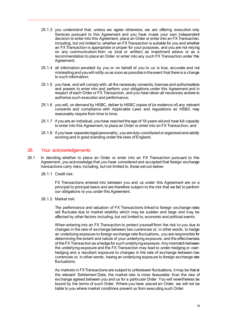- 25.1.3 you understand that, unless we agree otherwise, we are offering execution only Services pursuant to this Agreement and you have made your own independent decision to enter into this Agreement, place an Order or enter into an FX Transaction, including, but not limited to, whether an FX Transaction is suitable for you and whether an FX Transaction is appropriate or proper for your purposes, and you are not relying on any communication from us (oral or written) as investment advice or as a recommendation to place an Order or enter into any such FX Transaction under this Agreement;
- 25.1.4 all information provided by you or on behalf of you to us is true, accurate and not misleading and you will notify us as soon as possible in the event that there is a change to such information;
- 25.1.5 you have, and will comply with, all the necessary consents, licences and authorisations and powers to enter into and perform your obligations under this Agreement and in respect of each Order or FX Transaction, and you have taken all necessary actions to authorise such execution and performance;
- 25.1.6 you will, on demand by HSBC, deliver to HSBC copies of (or evidence of) any relevant consents and compliance with Applicable Laws and regulations as HSBC may reasonably require from time to time;
- 25.1.7 if you are an individual, you have reached the age of 18 years old and have full capacity to enter into this Agreement, to place an Order or enter into an FX Transaction; and
- 25.1.8 if you have separate legal personality, you are duly constituted or organised and validly existing and in good standing under the laws of England.

#### <span id="page-18-0"></span>26. Your acknowledgements

- <span id="page-18-1"></span>26.1 In deciding whether to place an Order or enter into an FX Transaction pursuant to this Agreement, you acknowledge that you have considered and accepted that foreign exchange transactions carry risks, including, but not limited to, those set out below:
	- 26.1.1 Credit risk:

FX Transactions entered into between you and us under this Agreement are on a principal to principal basis and are therefore subject to the risk that we fail to perform our obligations to you under this Agreement.

26.1.2 Market risk:

The performance and valuation of FX Transactions linked to foreign exchange rates will fluctuate due to market volatility which may be sudden and large and may be affected by other factors including, but not limited to, economic and political events.

When entering into an FX Transaction to protect yourself from the risk to you due to changes in the rate of exchange between two currencies or, in other words, to hedge an underlying exposure to foreign exchange rate fluctuations, you are responsible for determining the extent and nature of your underlying exposure, and the effectiveness of the FX Transaction as a hedge for such underlying exposure. Any mismatch between the underlying exposure and the FX Transaction may lead to under-hedging or overhedging and a resultant exposure to changes in the rate of exchange between two currencies or, in other words, having an underlying exposure to foreign exchange rate fluctuations.

As markets in FX Transactions are subject to unforeseen fluctuations, it may be that at the relevant Settlement Date, the market rate is more favourable than the rate of exchange agreed between you and us for a particular Order. You will nevertheless be bound by the terms of such Order. Where you have placed an Order, we will not be liable to you where market conditions prevent us from executing such Order.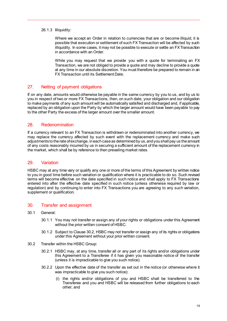26.1.3 Illiquidity:

Where we accept an Order in relation to currencies that are or become illiquid, it is possible that execution or settlement of such FX Transaction will be affected by such illiquidity. In some cases, it may not be possible to execute or settle an FX Transaction in accordance with an Order.

While you may request that we provide you with a quote for terminating an FX Transaction, we are not obliged to provide a quote and may decline to provide a quote at any time in our absolute discretion. You must therefore be prepared to remain in an FX Transaction until its Settlement Date.

# <span id="page-19-0"></span>27. Netting of payment obligations

If on any date, amounts would otherwise be payable in the same currency by you to us, and by us to you in respect of two or more FX Transactions, then, on such date, your obligation and our obligation to make payments of any such amount will be automatically satisfied and discharged and, if applicable, replaced by an obligation upon the Party by which the larger amount would have been payable to pay to the other Party the excess of the larger amount over the smaller amount.

# <span id="page-19-1"></span>28. Redenomination

If a currency relevant to an FX Transaction is withdrawn or redenominated into another currency, we may replace the currency affected by such event with the replacement currency and make such adjustments to the rate of exchange, in each case as determined by us, and you shall pay us the amount of any costs reasonably incurred by us in securing a sufficient amount of the replacement currency in the market, which shall be by reference to then prevailing market rates.

# <span id="page-19-2"></span>29. Variation

HSBC may at any time vary or qualify any one or more of the terms of this Agreement by written notice to you in good time before such variation or qualification where it is practicable to do so. Such revised terms will become effective on the date specified in such notice and shall apply to FX Transactions entered into after the effective date specified in such notice (unless otherwise required by law or regulation) and by continuing to enter into FX Transactions you are agreeing to any such variation, supplement or qualification.

# <span id="page-19-3"></span>30. Transfer and assignment

- 30.1 General:
	- 30.1.1 You may not transfer or assign any of your rights or obligations under this Agreement without the prior written consent of HSBC.
	- 30.1.2 Subject to Claus[e 30.2,](#page-19-4) HSBC may not transfer or assign any of its rights or obligations under this Agreement without your prior written consent.
- <span id="page-19-4"></span>30.2 Transfer within the HSBC Group:
	- 30.2.1 HSBC may, at any time, transfer all or any part of its rights and/or obligations under this Agreement to a Transferee if it has given you reasonable notice of the transfer (unless it is impracticable to give you such notice).
	- 30.2.2 Upon the effective date of the transfer as set out in the notice (or otherwise where it was impracticable to give you such notice):
		- (i) the rights and/or obligations of you and HSBC shall be transferred to the Transferee and you and HSBC will be released from further obligations to each other; and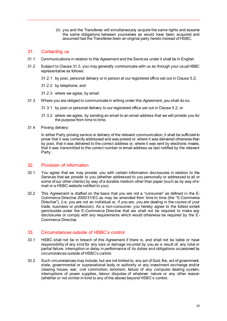(ii) you and the Transferee will simultaneously acquire the same rights and assume the same obligations between yourselves as would have been acquired and assumed had the Transferee been an original party hereto instead of HSBC.

#### <span id="page-20-0"></span>31. Contacting us

- 31.1 Communications in relation to this Agreement and the Services under it shall be in English.
- 31.2 Subject to Claus[e 31.3,](#page-20-3) you may generally communicate with us as through your usual HSBC representative as follows:
	- 31.2.1 by post, personal delivery or in person at our registered office set out in Claus[e 5.2](#page-6-4);
	- 31.2.2 by telephone; and
	- 31.2.3 where we agree, by email.
- <span id="page-20-3"></span>31.3 Where you are obliged to communicate in writing under this Agreement, you shall do so:
	- 31.3.1 by post or personal delivery to our registered office set out in Claus[e 5.2](#page-6-4); or
	- 31.3.2 where we agree, by sending an email to an email address that we will provide you for the purpose from time to time.
- 31.4 Proving delivery:

In either Party proving service or delivery of the relevant communication, it shall be sufficient to prove that it was correctly addressed and was posted or, where it was delivered otherwise than by post, that it was delivered to the correct address or, where it was sent by electronic means, that it was transmitted to the correct number or email address as last notified by the relevant Party.

# <span id="page-20-1"></span>32. Provision of information

- 32.1 You agree that we may provide you with certain information disclosures in relation to the Services that we provide to you (whether addressed to you personally or addressed to all or some of our other clients) by way of a durable medium other than paper (such as by way of email or a HSBC website notified to you).
- 32.2 This Agreement is drafted on the basis that you are not a "consumer" as defined in the E-Commerce Directive 2000/31/EC as may be amended from time to time (the "E-Commerce Directive"), (i.e. you are not an individual or, if you are, you are dealing in the course of your trade, business or profession). As a non-consumer, you hereby agree to the fullest extent permissible under the E-Commerce Directive that we shall not be required to make any disclosures or comply with any requirements which would otherwise be required by the E-Commerce Directive.

# <span id="page-20-2"></span>33. Circumstances outside of HSBC's control

- <span id="page-20-4"></span>33.1 HSBC shall not be in breach of this Agreement if there is, and shall not be liable or have responsibility of any kind for any loss or damage incurred by you as a result of, any total or partial failure, interruption or delay in performance of its duties and obligations occasioned by circumstances outside of HSBC's control.
- <span id="page-20-5"></span>33.2 Such circumstances may include, but are not limited to, any act of God, fire, act of government, state, governmental or supranational body or authority or any investment exchange and/or clearing house, war, civil commotion, terrorism, failure of any computer dealing system, interruptions of power supplies, labour disputes of whatever nature or any other reason (whether or not similar in kind to any of the above) beyond HSBC's control.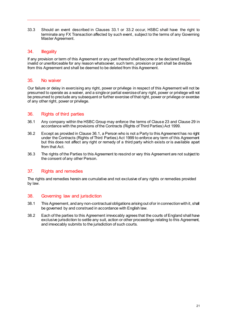33.3 Should an event described in Clauses [33.1](#page-20-4) or [33.2](#page-20-5) occur, HSBC shall have the right to terminate any FX Transaction affected by such event, subject to the terms of any Governing Master Agreement.

#### <span id="page-21-0"></span>34. Illegality

If any provision or term of this Agreement or any part thereof shall become or be declared illegal, invalid or unenforceable for any reason whatsoever, such term, provision or part shall be divisible from this Agreement and shall be deemed to be deleted from this Agreement.

#### <span id="page-21-1"></span>35. No waiver

Our failure or delay in exercising any right, power or privilege in respect of this Agreement will not be presumed to operate as a waiver, and a single or partial exercise of any right, power or privilege will not be presumed to preclude any subsequent or further exercise of that right, power or privilege or exercise of any other right, power or privilege.

# <span id="page-21-2"></span>36. Rights of third parties

- <span id="page-21-5"></span>36.1 Any company within the HSBC Group may enforce the terms of Claus[e 23](#page-16-0) and Claus[e 29](#page-19-2) in accordance with the provisions of the Contracts (Rights of Third Parties) Act 1999.
- 36.2 Except as provided in Claus[e 36.1,](#page-21-5) a Person who is not a Party to this Agreement has no right under the Contracts (Rights of Third Parties) Act 1999 to enforce any term of this Agreement but this does not affect any right or remedy of a third party which exists or is available apart from that Act.
- 36.3 The rights of the Parties to this Agreement to rescind or vary this Agreement are not subject to the consent of any other Person.

# <span id="page-21-3"></span>37. Rights and remedies

The rights and remedies herein are cumulative and not exclusive of any rights or remedies provided by law.

#### <span id="page-21-4"></span>38. Governing law and jurisdiction

- 38.1 This Agreement, and any non-contractual obligations arising out of or in connection with it, shall be governed by and construed in accordance with English law.
- 38.2 Each of the parties to this Agreement irrevocably agrees that the courts of England shall have exclusive jurisdiction to settle any suit, action or other proceedings relating to this Agreement, and irrevocably submits to the jurisdiction of such courts.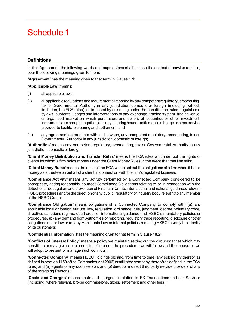# <span id="page-22-0"></span>Schedule 1

# **Definitions**

In this Agreement, the following words and expressions shall, unless the context otherwise requires, bear the following meanings given to them:

"**Agreement**" has the meaning given to that term in Claus[e 1.1](#page-4-4);

"**Applicable Law**" means:

- (i) all applicable laws;
- (ii) all applicable regulations and requirements imposed by any competent regulatory, prosecuting, tax or Governmental Authority in any jurisdiction, domestic or foreign (including, without limitation, the FCA rules), or imposed by or arising under the constitution, rules, regulations, bylaws, customs, usages and interpretations of any exchange, trading system, trading venue or organised market on which purchasers and sellers of securities or other investment instruments are brought together, and any clearing house, settlement exchange or other service provided to facilitate clearing and settlement; and
- (iii) any agreement entered into with, or between, any competent regulatory, prosecuting, tax or Governmental Authority in any jurisdiction, domestic or foreign;

"**Authorities**" means any competent regulatory, prosecuting, tax or Governmental Authority in any jurisdiction, domestic or foreign;

"**Client Money Distribution and Transfer Rules**" means the FCA rules which set out the rights of clients for whom a firm holds money under the Client Money Rules in the event that that firm fails;

"**Client Money Rules**" means the rules of the FCA which set out the obligations of a firm when it holds money as a trustee on behalf of a client in connection with the firm's regulated business;

"**Compliance Activity**" means any activity performed by a Connected Company considered to be appropriate, acting reasonably, to meet Compliance Obligations relating to or in connection with the detection, investigation and prevention of Financial Crime, international and national guidance, relevant HSBC procedures and/or the direction of any public, regulatory or industry body relevant to any member of the HSBC Group;

"**Compliance Obligation**" means obligations of a Connected Company to comply with: (a) any applicable local or foreign statute, law, regulation, ordinance, rule, judgment, decree, voluntary code, directive, sanctions regime, court order or international guidance and HSBC's mandatory policies or procedures, (b) any demand from Authorities or reporting, regulatory trade reporting, disclosure or other obligations under law or (c) any Applicable Law or internal policies requiring HSBC to verify the identity of its customers;

"**Confidential Information**" has the meaning given to that term in Claus[e 18.2](#page-12-3);

"**Conflicts of Interest Policy**" means a policy we maintain setting out the circumstances which may constitute or may give rise to a conflict of interest, the procedures we will follow and the measures we will adopt to prevent or manage such conflicts;

"**Connected Company**" means HSBC Holdings plc and, from time to time, any subsidiary thereof (as defined in section 1159 of the Companies Act 2006) or affiliated company thereof (as defined in the FCA rules) and (a) agents of any such Person, and (b) direct or indirect third party service providers of any of the foregoing Persons;

"**Costs and Charges**" means costs and charges in relation to FX Transactions and our Services (including, where relevant, broker commissions, taxes, settlement and other fees);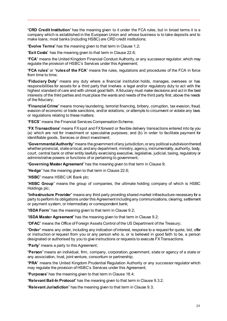"**CRD Credit Institution**" has the meaning given to it under the FCA rules, but in broad terms it is a company which is established in the European Union and whose business is to take deposits and to make loans; most banks (including HSBC) are CRD credit institutions;

"**Evolve Terms**" has the meaning given to that term in Claus[e 1.2](#page-4-5);

"**Exit Costs**" has the meaning given to that term in Claus[e 22.6](#page-15-2);

"**FCA**" means the United Kingdom Financial Conduct Authority, or any successor regulator, which may regulate the provision of HSBC's Services under this Agreement;

"**FCA rules**" or "**rules of the FCA**" means the rules, regulations and procedures of the FCA in force from time to time;

"**Fiduciary Duty**" means any duty where a financial institution holds, manages, oversees or has responsibilities for assets for a third party that involves a legal and/or regulatory duty to act with the highest standard of care and with utmost good faith. A fiduciary must make decisions and act in the best interests of the third parties and must place the wants and needs of the third party first, above the needs of the fiduciary;

"**Financial Crime**" means money laundering, terrorist financing, bribery, corruption, tax evasion, fraud, evasion of economic or trade sanctions, and/or violations, or attempts to circumvent or violate any laws or regulations relating to these matters;

"**FSCS**" means the Financial Services Compensation Scheme;

"**FX Transactions**" means FX spot and FX forward or flexible delivery transactions entered into by you (a) which are not for investment or speculative purposes; and (b) in order to facilitate payment for identifiable goods, Services or direct investment;

"**Governmental Authority**" means the government of any jurisdiction, or any political subdivision thereof, whether provincial, state or local, and any department, ministry, agency, instrumentality, authority, body, court, central bank or other entity lawfully exercising executive, legislative, judicial, taxing, regulatory or administrative powers or functions of or pertaining to government;

"**Governing Master Agreement**" has the meaning given to that term in Clause [9;](#page-7-0)

"**Hedge**" has the meaning given to that term in Claus[e 22.6](#page-15-2);

"**HSBC**" means HSBC UK Bank plc;

"**HSBC Group**" means the group of companies, the ultimate holding company of which is HSBC Holdings plc;

"**Infrastructure Provider**" means any third party providing shared market infrastructure necessary for a party to perform its obligations under this Agreementincluding any communications, clearing, settlement or payment system, or intermediary or correspondent bank;

"**ISDA Form**" has the meaning given to that term in Clause [9.2](#page-7-3);

"**ISDA Master Agreement**" has the meaning given to that term in Clause [9.2](#page-7-3);

"**OFAC**" means the Office of Foreign Assets Control of the US Department of the Treasury;

"**Order**" means any order, including any indication of interest, response to a request for quote, bid, offer or instruction or request from you or any person who is, or is believed in good faith to be, a person designated or authorised by you to give instructions or requests to execute FX Transactions.

"**Party**" means a party to this Agreement;

"**Person**" means an individual, firm, company, corporation, government, state or agency of a state or any association, trust, joint venture, consortium or partnership;

"**PRA**" means the United Kingdom Prudential Regulation Authority or any successor regulator which may regulate the provision of HSBC's Services under this Agreement;

"**Purposes**" has the meaning given to that term in Claus[e 18.4](#page-12-4);

"**Relevant Bail-In Protocol**" has the meaning given to that term in Claus[e 9.3.2](#page-8-0);

"**Relevant Jurisdiction**" has the meaning given to that term in Claus[e 9.3](#page-8-1);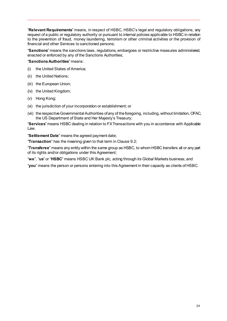"**Relevant Requirements**" means, in respect of HSBC, HSBC's legal and regulatory obligations, any request of a public or regulatory authority or pursuant to internal policies applicable to HSBC in relation to the prevention of fraud, money laundering, terrorism or other criminal activities or the provision of financial and other Services to sanctioned persons;

"**Sanctions**" means the sanctions laws, regulations, embargoes or restrictive measures administered, enacted or enforced by any of the Sanctions Authorities;

"**Sanctions Authorities**" means:

- (i) the United States of America;
- (ii) the United Nations;
- (iii) the European Union;
- (iv) the United Kingdom;
- (v) Hong Kong;
- (vi) the jurisdiction of your incorporation or establishment; or
- (vii) the respective Governmental Authorities of any of the foregoing, including, without limitation, OFAC, the US Department of State and Her Majesty's Treasury;

"**Services**" means HSBC dealing in relation to FX Transactions with you in accordance with Applicable Law.

"**Settlement Date**" means the agreed payment date;

"**Transaction**" has the meaning given to that term in Clause [9.2](#page-7-3);

"**Transferee**" means any entity within the same group as HSBC, to whom HSBC transfers all or any part of its rights and/or obligations under this Agreement;

"**we**", "**us**" or "**HSBC**" means HSBC UK Bank plc, acting through its Global Markets business; and

"**you**" means the person or persons entering into this Agreement in their capacity as clients of HSBC.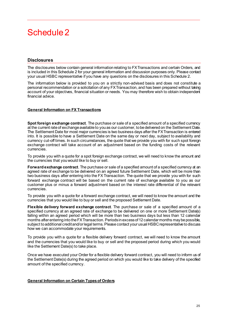# <span id="page-25-0"></span>Schedule 2

# **Disclosures**

The disclosures below contain general information relating to FX Transactions and certain Orders, and is included in this Schedule 2 for your general information and discussion purposes only. Please contact your usual HSBC representative if you have any questions on the disclosures in this Schedule 2.

The information below is provided to you on a strictly non-advised basis and does not constitute a personal recommendation or a solicitation of any FX Transaction, and has been prepared without taking account of your objectives, financial situation or needs. You may therefore wish to obtain independent financial advice.

#### **General Information on FX Transactions**

**Spot foreign exchange contract**. The purchase or sale of a specified amount of a specified currency at the current rate of exchange available to you as our customer, to be delivered on the Settlement Date. The Settlement Date for most major currencies is two business days after the FX Transaction is entered into. It is possible to have a Settlement Date on the same day or next day, subject to availability and currency cut-off times. In such circumstances, the quote that we provide you with for such spot foreign exchange contract will take account of an adjustment based on the funding costs of the relevant currencies.

To provide you with a quote for a spot foreign exchange contract, we will need to know the amount and the currencies that you would like to buy or sell.

**Forward exchange contract**. The purchase or sale of a specified amount of a specified currency at an agreed rate of exchange to be delivered on an agreed future Settlement Date, which will be more than two business days after entering into the FX Transaction. The quote that we provide you with for such forward exchange contract will be based on the current rate of exchange available to you as our customer plus or minus a forward adjustment based on the interest rate differential of the relevant currencies.

To provide you with a quote for a forward exchange contract, we will need to know the amount and the currencies that you would like to buy or sell and the proposed Settlement Date.

**Flexible delivery forward exchange contract**. The purchase or sale of a specified amount of a specified currency at an agreed rate of exchange to be delivered on one or more Settlement Date(s) falling within an agreed period which will be more than two business days but less than 12 calendar months after entering into the FX Transaction. Periods in excess of 12 calendar months may be possible, subject to additional credit and/or legal terms. Please contact your usual HSBC representative to discuss how we can accommodate your requirements.

To provide you with a quote for a flexible delivery forward contract, we will need to know the amount and the currencies that you would like to buy or sell and the proposed period during which you would like the Settlement Date(s) to take place.

Once we have executed your Order for a flexible delivery forward contract, you will need to inform us of the Settlement Date(s) during the agreed period on which you would like to take delivery of the specified amount of the specified currency.

#### **General Information on Certain Types of Orders**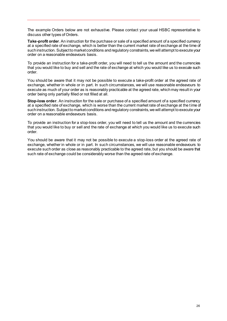The example Orders below are not exhaustive. Please contact your usual HSBC representative to discuss other types of Orders.

**Take-profit order**. An instruction for the purchase or sale of a specified amount of a specified currency at a specified rate of exchange, which is better than the current market rate of exchange at the time of such instruction. Subject to market conditions and regulatory constraints, we will attempt to execute your order on a reasonable endeavours basis.

To provide an instruction for a take-profit order, you will need to tell us the amount and the currencies that you would like to buy and sell and the rate of exchange at which you would like us to execute such order.

You should be aware that it may not be possible to execute a take-profit order at the agreed rate of exchange, whether in whole or in part. In such circumstances, we will use reasonable endeavours to execute as much of your order as is reasonably practicable at the agreed rate, which may result in your order being only partially filled or not filled at all.

**Stop-loss order**. An instruction for the sale or purchase of a specified amount of a specified currency at a specified rate of exchange, which is worse than the current market rate of exchange at the time of such instruction. Subject to market conditions and regulatory constraints, we will attempt to execute your order on a reasonable endeavours basis.

To provide an instruction for a stop-loss order, you will need to tell us the amount and the currencies that you would like to buy or sell and the rate of exchange at which you would like us to execute such order.

You should be aware that it may not be possible to execute a stop-loss order at the agreed rate of exchange, whether in whole or in part. In such circumstances, we will use reasonable endeavours to execute such order as close as reasonably practicable to the agreed rate, but you should be aware that such rate of exchange could be considerably worse than the agreed rate of exchange.